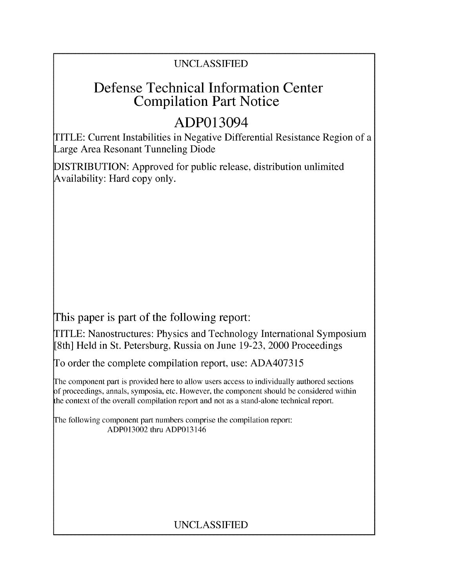## UNCLASSIFIED

## Defense Technical Information Center Compilation Part Notice

# ADP013094

TITLE: Current Instabilities in Negative Differential Resistance Region of a Large Area Resonant Tunneling Diode

DISTRIBUTION: Approved for public release, distribution unlimited Availability: Hard copy only.

This paper is part of the following report:

TITLE: Nanostructures: Physics and Technology International Symposium [8th] Held in St. Petersburg, Russia on June 19-23, 2000 Proceedings

To order the complete compilation report, use: ADA407315

The component part is provided here to allow users access to individually authored sections f proceedings, annals, symposia, etc. However, the component should be considered within the context of the overall compilation report and not as a stand-alone technical report.

The following component part numbers comprise the compilation report: ADP013002 thru ADP013146

## UNCLASSIFIED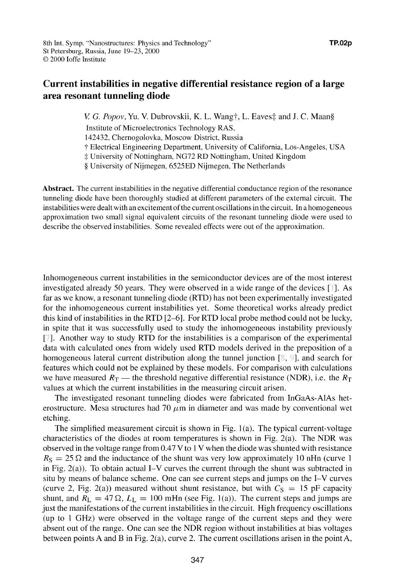### Current instabilities in negative differential resistance region of a large area resonant tunneling diode

*V. G. Popov, Yu. V. Dubrovskii, K. L. Wang†, L. Eaves‡ and J. C. Maan§* 

Institute of Microelectronics Technology RAS,

142432, Chernogolovka, Moscow District, Russia

**T** Electrical Engineering Department, University of California, Los-Angeles, USA

**-.** University of Nottingham, NG72 RD Nottingham, United Kingdom

**§** University of Nijmegen, 6525ED Nijmegen, The Netherlands

Abstract. The current instabilities in the negative differential conductance region of the resonance tunneling diode have been thoroughly studied at different parameters of the external circuit. The instabilities were dealt with an excitement of the current oscillations in the circuit. In a homogeneous approximation two small signal equivalent circuits of the resonant tunneling diode were used to describe the observed instabilities. Some revealed effects were out of the approximation.

Inhomogeneous current instabilities in the semiconductor devices are of the most interest investigated already 50 years. They were observed in a wide range of the devices **[** ]. As far as we know, a resonant tunneling diode (RTD) has not been experimentally investigated for the inhomogeneous current instabilities yet. Some theoretical works already predict this kind of instabilities in the RTD [2-6 **1.** For RTD local probe method could not be lucky, in spite that it was successfully used to study the inhomogeneous instability previously **[].** Another way to study RTD for the instabilities is a comparison of the experimental data with calculated ones from widely used RTD models derived in the preposition of a homogeneous lateral current distribution along the tunnel junction  $[\&$ ,  $\&$ ], and search for features which could not be explained by these models. For comparison with calculations we have measured  $R_T$  — the threshold negative differential resistance (NDR), i.e. the  $R_T$ values at which the current instabilities in the measuring circuit arisen.

The investigated resonant tunneling diodes were fabricated from InGaAs-A1As heterostructure. Mesa structures had 70  $\mu$ m in diameter and was made by conventional wet etching.

The simplified measurement circuit is shown in Fig.  $1(a)$ . The typical current-voltage characteristics of the diodes at room temperatures is shown in Fig. 2(a). The NDR was observed in the voltage range from 0.47 V to **I** V when the diode was shunted with resistance  $R<sub>S</sub> = 25 \Omega$  and the inductance of the shunt was very low approximately 10 nHn (curve 1) in Fig. 2(a)). To obtain actual I-V curves the current through the shunt was subtracted in situ by means of balance scheme. One can see current steps and jumps on the I-V curves (curve 2, Fig. 2(a)) measured without shunt resistance, but with  $C<sub>S</sub> = 15$  pF capacity shunt, and  $R_L = 47 \Omega$ ,  $L_L = 100$  mHn (see Fig. 1(a)). The current steps and jumps are just the manifestations of the current instabilities in the circuit. High frequency oscillations (up to **I** GHz) were observed in the voltage range of the current steps and they were absent out of the range. One can see the NDR region without instabilities at bias voltages between points A and B in Fig. 2(a), curve 2. The current oscillations arisen in the point A,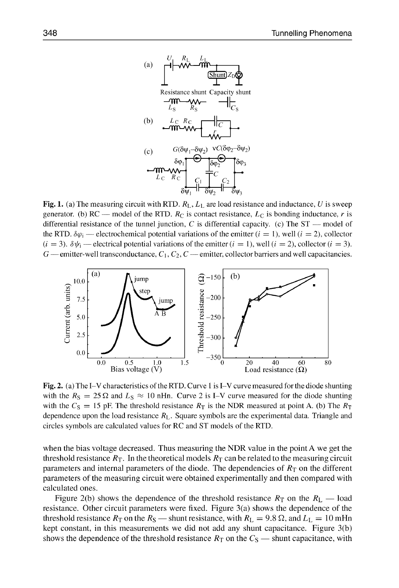

Fig. 1. (a) The measuring circuit with RTD.  $R_L$ ,  $L_L$  are load resistance and inductance, U is sweep generator. (b)  $RC$  -- model of the RTD.  $R_C$  is contact resistance,  $L_C$  is bonding inductance, r is differential resistance of the tunnel junction,  $C$  is differential capacity. (c) The  $ST$  — model of the RTD.  $\delta\varphi_i$  — electrochemical potential variations of the emitter ( $i = 1$ ), well ( $i = 2$ ), collector  $(i = 3)$ .  $\delta \psi_i$  — electrical potential variations of the emitter  $(i = 1)$ , well  $(i = 2)$ , collector  $(i = 3)$ .  $G$  emitter-well transconductance,  $C_1, C_2, C$  emitter, collector barriers and well capacitancies.



Fig. 2. (a) The I-V characteristics of the RTD. Curve **I** is I-V curve measured for the diode shunting with the  $R_S = 25 \Omega$  and  $L_S \approx 10$  nHn. Curve 2 is I-V curve measured for the diode shunting with the  $C_S = 15$  pF. The threshold resistance  $R_T$  is the NDR measured at point A. (b) The  $R_T$ dependence upon the load resistance  $R_L$ . Square symbols are the experimental data. Triangle and circles symbols are calculated values for RC and ST models of the RTD.

when the bias voltage decreased. Thus measuring the NDR value in the point A we get the threshold resistance  $R_T$ . In the theoretical models  $R_T$  can be related to the measuring circuit parameters and internal parameters of the diode. The dependencies of  $R<sub>T</sub>$  on the different parameters of the measuring circuit were obtained experimentally and then compared with calculated ones.

Figure 2(b) shows the dependence of the threshold resistance  $R_T$  on the  $R_L$  — load resistance. Other circuit parameters were fixed. Figure 3(a) shows the dependence of the threshold resistance  $R_T$  on the  $R_S$  — shunt resistance, with  $R_L = 9.8 \Omega$ , and  $L_L = 10$  mHn kept constant, in this measurements we did not add any shunt capacitance. Figure 3(b) shows the dependence of the threshold resistance  $R<sub>T</sub>$  on the  $C<sub>S</sub>$   $-$  shunt capacitance, with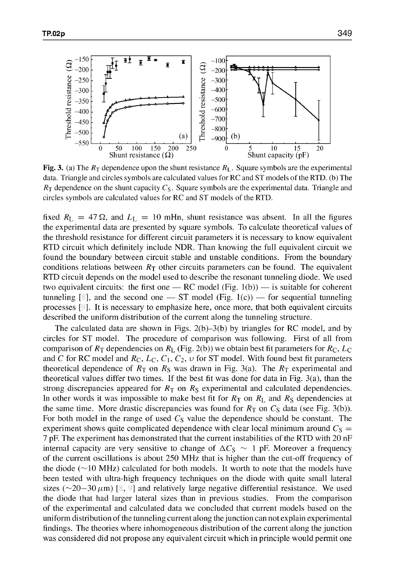

Fig. 3. (a) The  $R_T$  dependence upon the shunt resistance  $R_L$ . Square symbols are the experimental data. Triangle and circles symbols are calculated values for RC and ST models of the RTD. **(b)** The  $R<sub>T</sub>$  dependence on the shunt capacity  $C<sub>S</sub>$ . Square symbols are the experimental data. Triangle and circles symbols are calculated values for RC and ST models of the RTD.

fixed  $R_L = 47 \Omega$ , and  $L_L = 10$  mHn, shunt resistance was absent. In all the figures the experimental data are presented by square symbols. To calculate theoretical values of the threshold resistance for different circuit parameters it is necessary to know equivalent RTD circuit which definitely include NDR. Than knowing the full equivalent circuit we found the boundary between circuit stable and unstable conditions. From the boundary conditions relations between  $R<sub>T</sub>$  other circuits parameters can be found. The equivalent RTD circuit depends on the model used to describe the resonant tunneling diode. We used two equivalent circuits: the first one **-** RC model (Fig. 1 (b)) **-** is suitable for coherent tunneling  $\lbrack \S \rbrack$ , and the second one — ST model (Fig. 1(c)) — for sequential tunneling processes  $\lceil \frac{1}{2} \rceil$ . It is necessary to emphasize here, once more, that both equivalent circuits described the uniform distribution of the current along the tunneling structure.

The calculated data are shown in Figs. 2(b)-3(b) by triangles for RC model, and by circles for ST model. The procedure of comparison was following. First of all from comparison of  $R_T$  dependencies on  $R_L$  (Fig. 2(b)) we obtain best fit parameters for  $R_C$ ,  $L_C$ and C for RC model and  $R_C$ ,  $L_C$ ,  $C_1$ ,  $C_2$ ,  $v$  for ST model. With found best fit parameters theoretical dependence of  $R_T$  on  $R_S$  was drawn in Fig. 3(a). The  $R_T$  experimental and theoretical values differ two times. If the best fit was done for data in Fig. 3(a), than the strong discrepancies appeared for  $R<sub>T</sub>$  on  $R<sub>S</sub>$  experimental and calculated dependencies. In other words it was impossible to make best fit for  $R<sub>T</sub>$  on  $R<sub>L</sub>$  and  $R<sub>S</sub>$  dependencies at the same time. More drastic discrepancies was found for  $R<sub>T</sub>$  on  $C<sub>S</sub>$  data (see Fig. 3(b)). For both model in the range of used  $C<sub>S</sub>$  value the dependence should be constant. The experiment shows quite complicated dependence with clear local minimum around  $C<sub>S</sub>$  = 7 pF. The experiment has demonstrated that the current instabilities of the RTD with 20 nF internal capacity are very sensitive to change of  $\Delta C_S \sim 1$  pF. Moreover a frequency of the current oscillations is about 250 MHz that is higher than the cut-off frequency of the diode ( $\sim$ 10 MHz) calculated for both models. It worth to note that the models have been tested with ultra-high frequency techniques on the diode with quite small lateral sizes ( $\sim$ 20-30  $\mu$ m) [8, 9] and relatively large negative differential resistance. We used the diode that had larger lateral sizes than in previous studies. From the comparison of the experimental and calculated data we concluded that current models based on the uniform distribution of the tunneling current along the junction can not explain experimental findings. The theories where inhomogeneous distribution of the current along the junction was considered did not propose any equivalent circuit which in principle would permit one